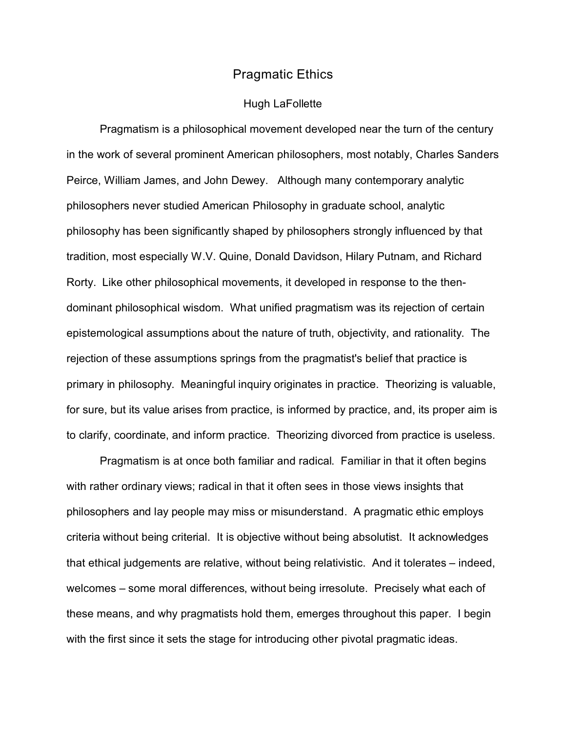# Pragmatic Ethics

## Hugh LaFollette

Pragmatism is a philosophical movement developed near the turn of the century in the work of several prominent American philosophers, most notably, Charles Sanders Peirce, William James, and John Dewey. Although many contemporary analytic philosophers never studied American Philosophy in graduate school, analytic philosophy has been significantly shaped by philosophers strongly influenced by that tradition, most especially W.V. Quine, Donald Davidson, Hilary Putnam, and Richard Rorty. Like other philosophical movements, it developed in response to the thendominant philosophical wisdom. What unified pragmatism was its rejection of certain epistemological assumptions about the nature of truth, objectivity, and rationality. The rejection of these assumptions springs from the pragmatist's belief that practice is primary in philosophy. Meaningful inquiry originates in practice. Theorizing is valuable, for sure, but its value arises from practice, is informed by practice, and, its proper aim is to clarify, coordinate, and inform practice. Theorizing divorced from practice is useless.

Pragmatism is at once both familiar and radical. Familiar in that it often begins with rather ordinary views; radical in that it often sees in those views insights that philosophers and lay people may miss or misunderstand. A pragmatic ethic employs criteria without being criterial. It is objective without being absolutist. It acknowledges that ethical judgements are relative, without being relativistic. And it tolerates – indeed, welcomes – some moral differences, without being irresolute. Precisely what each of these means, and why pragmatists hold them, emerges throughout this paper. I begin with the first since it sets the stage for introducing other pivotal pragmatic ideas.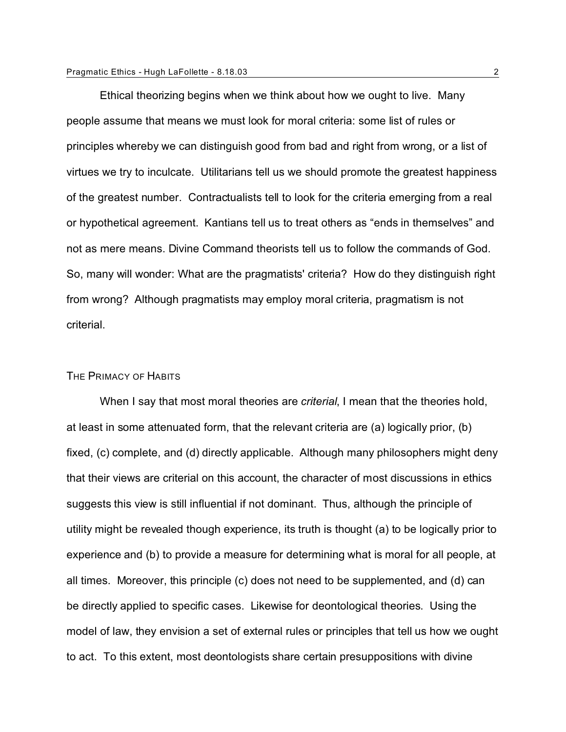Ethical theorizing begins when we think about how we ought to live. Many people assume that means we must look for moral criteria: some list of rules or principles whereby we can distinguish good from bad and right from wrong, or a list of virtues we try to inculcate. Utilitarians tell us we should promote the greatest happiness of the greatest number. Contractualists tell to look for the criteria emerging from a real or hypothetical agreement. Kantians tell us to treat others as "ends in themselves" and not as mere means. Divine Command theorists tell us to follow the commands of God. So, many will wonder: What are the pragmatists' criteria? How do they distinguish right from wrong? Although pragmatists may employ moral criteria, pragmatism is not criterial.

## THE PRIMACY OF HABITS

When I say that most moral theories are *criterial*, I mean that the theories hold, at least in some attenuated form, that the relevant criteria are (a) logically prior, (b) fixed, (c) complete, and (d) directly applicable. Although many philosophers might deny that their views are criterial on this account, the character of most discussions in ethics suggests this view is still influential if not dominant. Thus, although the principle of utility might be revealed though experience, its truth is thought (a) to be logically prior to experience and (b) to provide a measure for determining what is moral for all people, at all times. Moreover, this principle (c) does not need to be supplemented, and (d) can be directly applied to specific cases. Likewise for deontological theories. Using the model of law, they envision a set of external rules or principles that tell us how we ought to act. To this extent, most deontologists share certain presuppositions with divine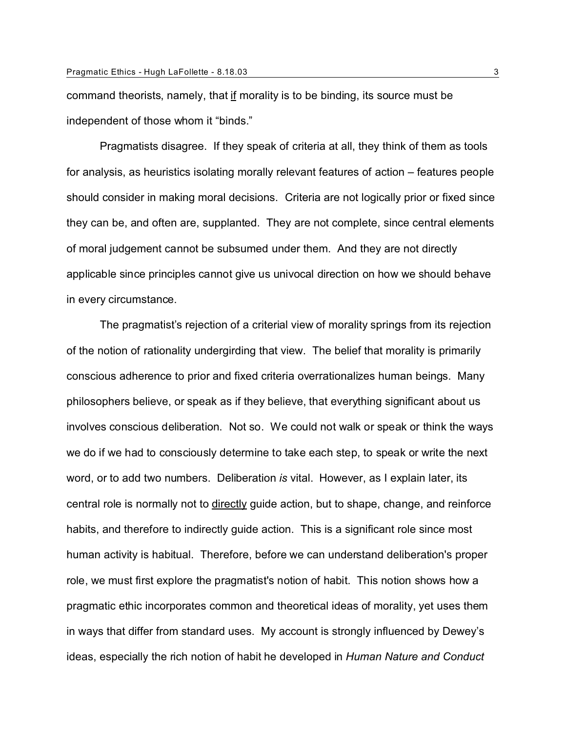command theorists, namely, that if morality is to be binding, its source must be independent of those whom it "binds."

Pragmatists disagree. If they speak of criteria at all, they think of them as tools for analysis, as heuristics isolating morally relevant features of action – features people should consider in making moral decisions. Criteria are not logically prior or fixed since they can be, and often are, supplanted. They are not complete, since central elements of moral judgement cannot be subsumed under them. And they are not directly applicable since principles cannot give us univocal direction on how we should behave in every circumstance.

The pragmatist's rejection of a criterial view of morality springs from its rejection of the notion of rationality undergirding that view. The belief that morality is primarily conscious adherence to prior and fixed criteria overrationalizes human beings. Many philosophers believe, or speak as if they believe, that everything significant about us involves conscious deliberation. Not so. We could not walk or speak or think the ways we do if we had to consciously determine to take each step, to speak or write the next word, or to add two numbers. Deliberation *is* vital. However, as I explain later, its central role is normally not to directly guide action, but to shape, change, and reinforce habits, and therefore to indirectly guide action. This is a significant role since most human activity is habitual. Therefore, before we can understand deliberation's proper role, we must first explore the pragmatist's notion of habit. This notion shows how a pragmatic ethic incorporates common and theoretical ideas of morality, yet uses them in ways that differ from standard uses. My account is strongly influenced by Dewey's ideas, especially the rich notion of habit he developed in *Human Nature and Conduct*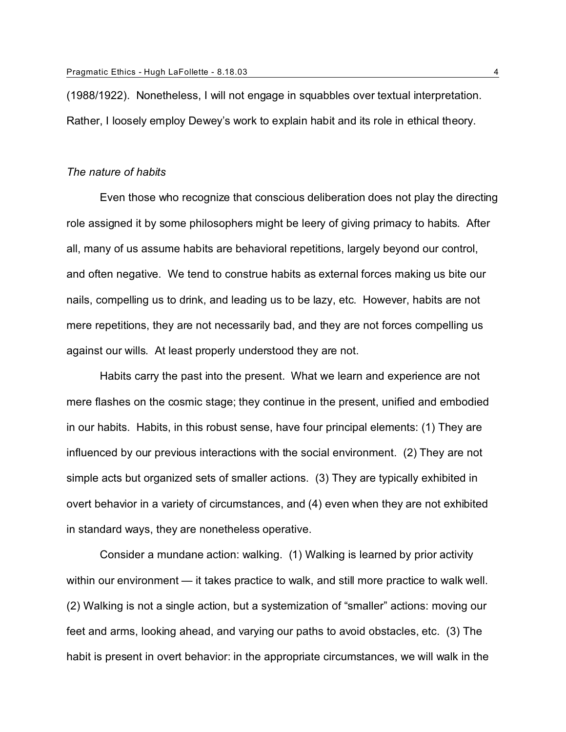(1988/1922). Nonetheless, I will not engage in squabbles over textual interpretation. Rather, I loosely employ Dewey's work to explain habit and its role in ethical theory.

## *The nature of habits*

Even those who recognize that conscious deliberation does not play the directing role assigned it by some philosophers might be leery of giving primacy to habits. After all, many of us assume habits are behavioral repetitions, largely beyond our control, and often negative. We tend to construe habits as external forces making us bite our nails, compelling us to drink, and leading us to be lazy, etc. However, habits are not mere repetitions, they are not necessarily bad, and they are not forces compelling us against our wills. At least properly understood they are not.

Habits carry the past into the present. What we learn and experience are not mere flashes on the cosmic stage; they continue in the present, unified and embodied in our habits. Habits, in this robust sense, have four principal elements: (1) They are influenced by our previous interactions with the social environment. (2) They are not simple acts but organized sets of smaller actions. (3) They are typically exhibited in overt behavior in a variety of circumstances, and (4) even when they are not exhibited in standard ways, they are nonetheless operative.

Consider a mundane action: walking. (1) Walking is learned by prior activity within our environment — it takes practice to walk, and still more practice to walk well. (2) Walking is not a single action, but a systemization of "smaller" actions: moving our feet and arms, looking ahead, and varying our paths to avoid obstacles, etc. (3) The habit is present in overt behavior: in the appropriate circumstances, we will walk in the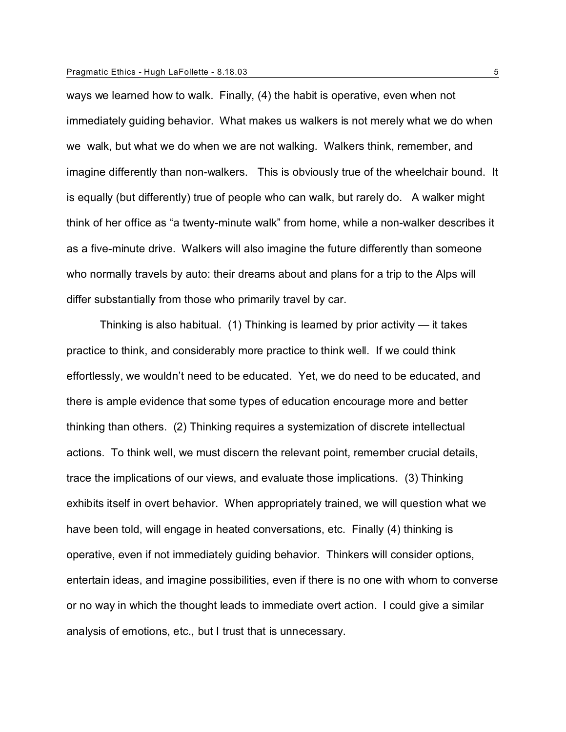ways we learned how to walk. Finally, (4) the habit is operative, even when not immediately guiding behavior. What makes us walkers is not merely what we do when we walk, but what we do when we are not walking. Walkers think, remember, and imagine differently than non-walkers. This is obviously true of the wheelchair bound. It is equally (but differently) true of people who can walk, but rarely do. A walker might think of her office as "a twenty-minute walk" from home, while a non-walker describes it as a five-minute drive. Walkers will also imagine the future differently than someone who normally travels by auto: their dreams about and plans for a trip to the Alps will differ substantially from those who primarily travel by car.

Thinking is also habitual. (1) Thinking is learned by prior activity — it takes practice to think, and considerably more practice to think well. If we could think effortlessly, we wouldn't need to be educated. Yet, we do need to be educated, and there is ample evidence that some types of education encourage more and better thinking than others. (2) Thinking requires a systemization of discrete intellectual actions. To think well, we must discern the relevant point, remember crucial details, trace the implications of our views, and evaluate those implications. (3) Thinking exhibits itself in overt behavior. When appropriately trained, we will question what we have been told, will engage in heated conversations, etc. Finally (4) thinking is operative, even if not immediately guiding behavior. Thinkers will consider options, entertain ideas, and imagine possibilities, even if there is no one with whom to converse or no way in which the thought leads to immediate overt action. I could give a similar analysis of emotions, etc., but I trust that is unnecessary.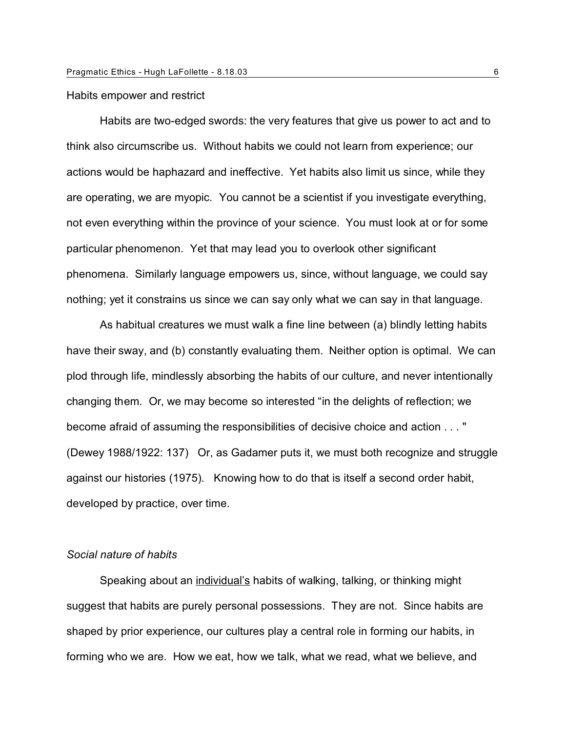Habits empower and restrict

Habits are two-edged swords: the very features that give us power to act and to think also circumscribe us. Without habits we could not learn from experience; our actions would be haphazard and ineffective. Yet habits also limit us since, while they are operating, we are myopic. You cannot be a scientist if you investigate everything, not even everything within the province of your science. You must look at or for some particular phenomenon. Yet that may lead you to overlook other significant phenomena. Similarly language empowers us, since, without language, we could say nothing; yet it constrains us since we can say only what we can say in that language.

As habitual creatures we must walk a fine line between (a) blindly letting habits have their sway, and (b) constantly evaluating them. Neither option is optimal. We can plod through life, mindlessly absorbing the habits of our culture, and never intentionally changing them. Or, we may become so interested "in the delights of reflection; we become afraid of assuming the responsibilities of decisive choice and action . . . " [\(Dewey 1988/1922: 137\)](http://endnote+.cit) Or, as Gadamer puts it, we must both recognize and struggle against our histories [\(1975\)](http://endnote+.cit). Knowing how to do that is itself a second order habit, developed by practice, over time.

## *Social nature of habits*

Speaking about an individual's habits of walking, talking, or thinking might suggest that habits are purely personal possessions. They are not. Since habits are shaped by prior experience, our cultures play a central role in forming our habits, in forming who we are. How we eat, how we talk, what we read, what we believe, and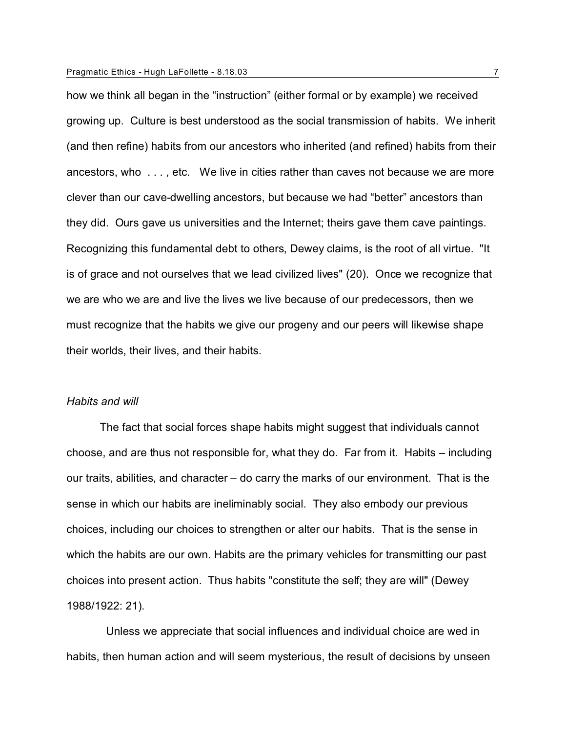how we think all began in the "instruction" (either formal or by example) we received growing up. Culture is best understood as the social transmission of habits. We inherit (and then refine) habits from our ancestors who inherited (and refined) habits from their ancestors, who . . . , etc. We live in cities rather than caves not because we are more clever than our cave-dwelling ancestors, but because we had "better" ancestors than they did. Ours gave us universities and the Internet; theirs gave them cave paintings. Recognizing this fundamental debt to others, Dewey claims, is the root of all virtue. "It is of grace and not ourselves that we lead civilized lives" (20). Once we recognize that we are who we are and live the lives we live because of our predecessors, then we must recognize that the habits we give our progeny and our peers will likewise shape their worlds, their lives, and their habits.

## *Habits and will*

The fact that social forces shape habits might suggest that individuals cannot choose, and are thus not responsible for, what they do. Far from it. Habits – including our traits, abilities, and character – do carry the marks of our environment. That is the sense in which our habits are ineliminably social. They also embody our previous choices, including our choices to strengthen or alter our habits. That is the sense in which the habits are our own. Habits are the primary vehicles for transmitting our past choices into present action. Thus habits "constitute the self; they are will" [\(Dewey](http://endnote+.cit) [1988/1922: 21\)](http://endnote+.cit).

 Unless we appreciate that social influences and individual choice are wed in habits, then human action and will seem mysterious, the result of decisions by unseen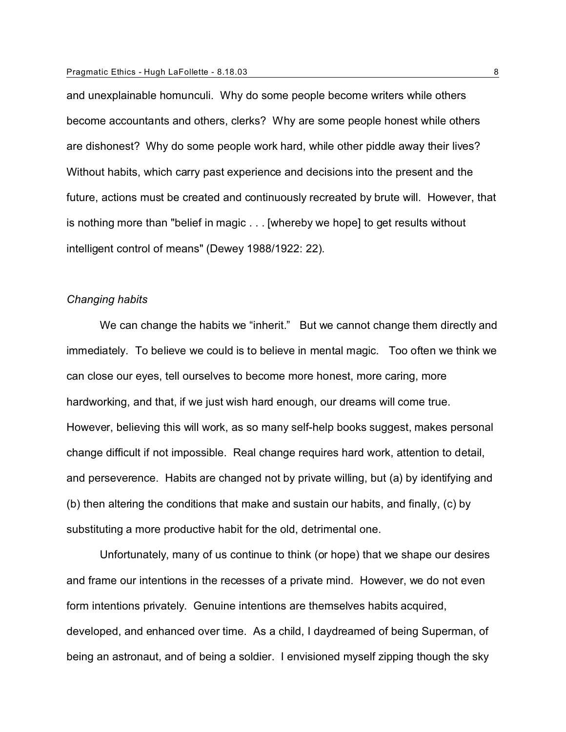and unexplainable homunculi. Why do some people become writers while others become accountants and others, clerks? Why are some people honest while others are dishonest? Why do some people work hard, while other piddle away their lives? Without habits, which carry past experience and decisions into the present and the future, actions must be created and continuously recreated by brute will. However, that is nothing more than "belief in magic . . . [whereby we hope] to get results without intelligent control of means" [\(Dewey 1988/1922: 22\)](http://endnote+.cit).

## *Changing habits*

We can change the habits we "inherit." But we cannot change them directly and immediately. To believe we could is to believe in mental magic. Too often we think we can close our eyes, tell ourselves to become more honest, more caring, more hardworking, and that, if we just wish hard enough, our dreams will come true. However, believing this will work, as so many self-help books suggest, makes personal change difficult if not impossible. Real change requires hard work, attention to detail, and perseverence. Habits are changed not by private willing, but (a) by identifying and (b) then altering the conditions that make and sustain our habits, and finally, (c) by substituting a more productive habit for the old, detrimental one.

Unfortunately, many of us continue to think (or hope) that we shape our desires and frame our intentions in the recesses of a private mind. However, we do not even form intentions privately. Genuine intentions are themselves habits acquired, developed, and enhanced over time. As a child, I daydreamed of being Superman, of being an astronaut, and of being a soldier. I envisioned myself zipping though the sky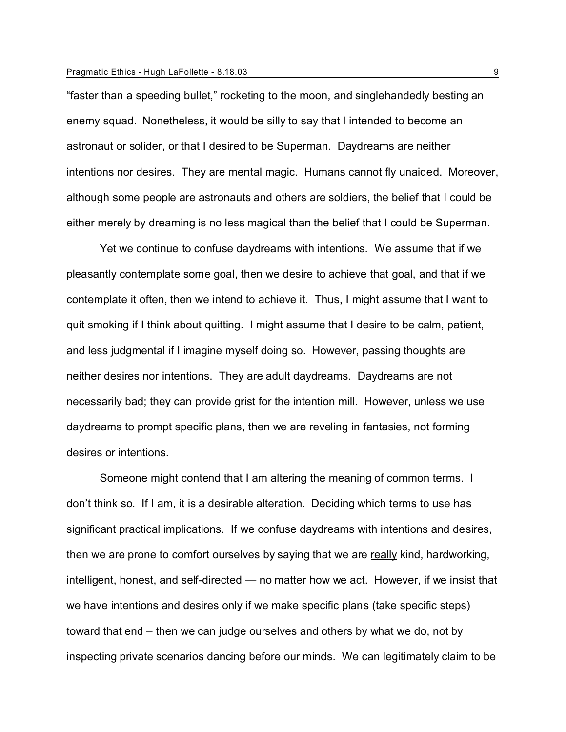"faster than a speeding bullet," rocketing to the moon, and singlehandedly besting an enemy squad. Nonetheless, it would be silly to say that I intended to become an astronaut or solider, or that I desired to be Superman. Daydreams are neither intentions nor desires. They are mental magic. Humans cannot fly unaided. Moreover, although some people are astronauts and others are soldiers, the belief that I could be either merely by dreaming is no less magical than the belief that I could be Superman.

Yet we continue to confuse daydreams with intentions. We assume that if we pleasantly contemplate some goal, then we desire to achieve that goal, and that if we contemplate it often, then we intend to achieve it. Thus, I might assume that I want to quit smoking if I think about quitting. I might assume that I desire to be calm, patient, and less judgmental if I imagine myself doing so. However, passing thoughts are neither desires nor intentions. They are adult daydreams. Daydreams are not necessarily bad; they can provide grist for the intention mill. However, unless we use daydreams to prompt specific plans, then we are reveling in fantasies, not forming desires or intentions.

Someone might contend that I am altering the meaning of common terms. I don't think so. If I am, it is a desirable alteration. Deciding which terms to use has significant practical implications. If we confuse daydreams with intentions and desires, then we are prone to comfort ourselves by saying that we are really kind, hardworking, intelligent, honest, and self-directed — no matter how we act. However, if we insist that we have intentions and desires only if we make specific plans (take specific steps) toward that end – then we can judge ourselves and others by what we do, not by inspecting private scenarios dancing before our minds. We can legitimately claim to be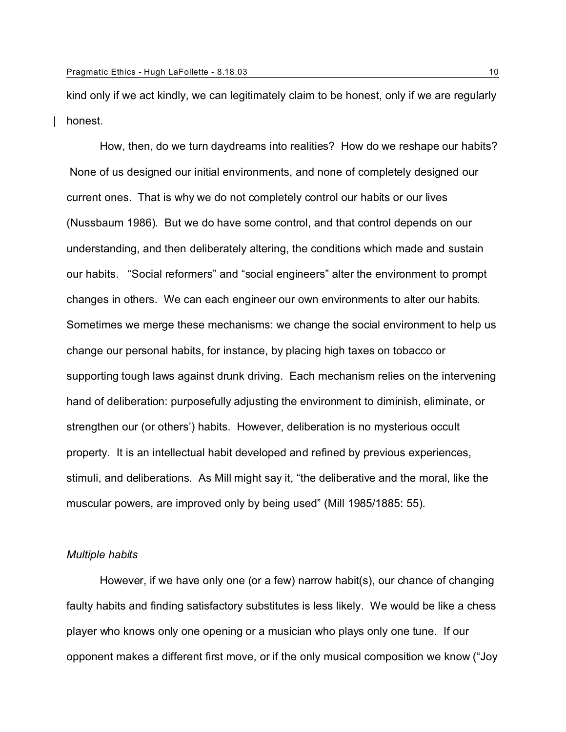kind only if we act kindly, we can legitimately claim to be honest, only if we are regularly honest.

How, then, do we turn daydreams into realities? How do we reshape our habits? None of us designed our initial environments, and none of completely designed our current ones. That is why we do not completely control our habits or our lives [\(Nussbaum 1986\)](http://endnote+.cit). But we do have some control, and that control depends on our understanding, and then deliberately altering, the conditions which made and sustain our habits. "Social reformers" and "social engineers" alter the environment to prompt changes in others. We can each engineer our own environments to alter our habits. Sometimes we merge these mechanisms: we change the social environment to help us change our personal habits, for instance, by placing high taxes on tobacco or supporting tough laws against drunk driving. Each mechanism relies on the intervening hand of deliberation: purposefully adjusting the environment to diminish, eliminate, or strengthen our (or others') habits. However, deliberation is no mysterious occult property. It is an intellectual habit developed and refined by previous experiences, stimuli, and deliberations. As Mill might say it, "the deliberative and the moral, like the muscular powers, are improved only by being used" [\(Mill 1985/1885: 55\)](http://endnote+.cit).

### *Multiple habits*

However, if we have only one (or a few) narrow habit(s), our chance of changing faulty habits and finding satisfactory substitutes is less likely. We would be like a chess player who knows only one opening or a musician who plays only one tune. If our opponent makes a different first move, or if the only musical composition we know ("Joy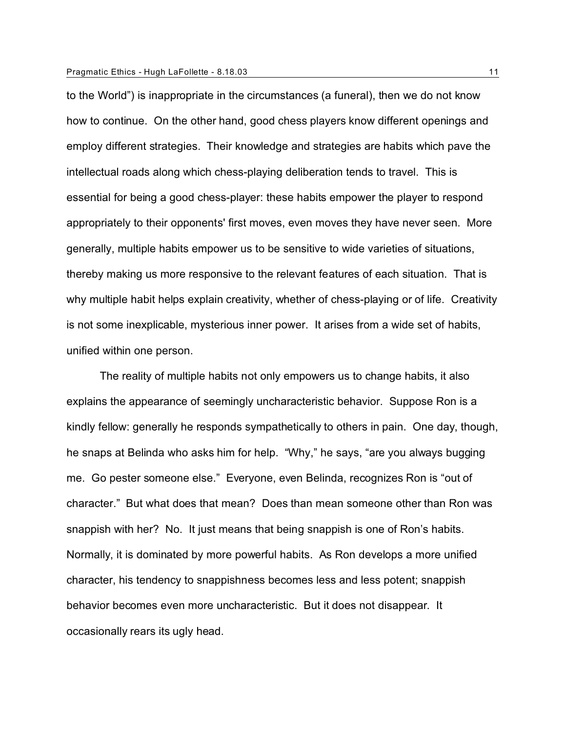to the World") is inappropriate in the circumstances (a funeral), then we do not know how to continue. On the other hand, good chess players know different openings and employ different strategies. Their knowledge and strategies are habits which pave the intellectual roads along which chess-playing deliberation tends to travel. This is essential for being a good chess-player: these habits empower the player to respond appropriately to their opponents' first moves, even moves they have never seen. More generally, multiple habits empower us to be sensitive to wide varieties of situations, thereby making us more responsive to the relevant features of each situation. That is why multiple habit helps explain creativity, whether of chess-playing or of life. Creativity is not some inexplicable, mysterious inner power. It arises from a wide set of habits, unified within one person.

The reality of multiple habits not only empowers us to change habits, it also explains the appearance of seemingly uncharacteristic behavior. Suppose Ron is a kindly fellow: generally he responds sympathetically to others in pain. One day, though, he snaps at Belinda who asks him for help. "Why," he says, "are you always bugging me. Go pester someone else." Everyone, even Belinda, recognizes Ron is "out of character." But what does that mean? Does than mean someone other than Ron was snappish with her? No. It just means that being snappish is one of Ron's habits. Normally, it is dominated by more powerful habits. As Ron develops a more unified character, his tendency to snappishness becomes less and less potent; snappish behavior becomes even more uncharacteristic. But it does not disappear. It occasionally rears its ugly head.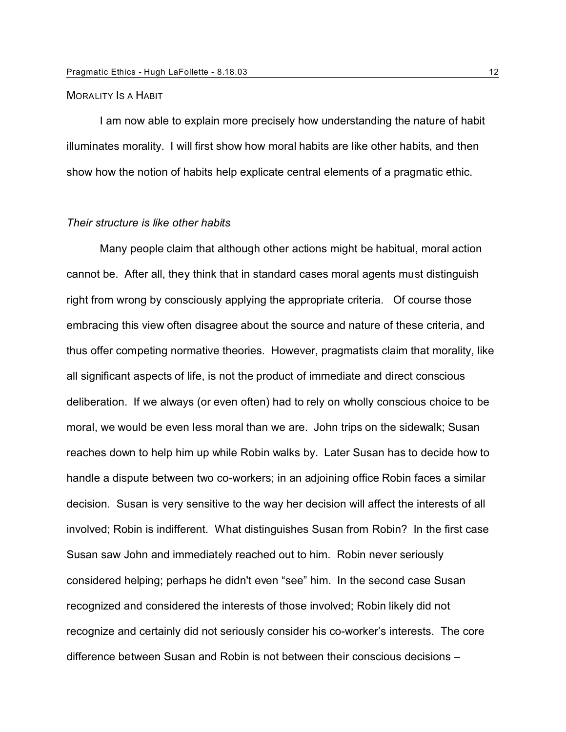### MORALITY IS A HABIT

I am now able to explain more precisely how understanding the nature of habit illuminates morality. I will first show how moral habits are like other habits, and then show how the notion of habits help explicate central elements of a pragmatic ethic.

### *Their structure is like other habits*

Many people claim that although other actions might be habitual, moral action cannot be. After all, they think that in standard cases moral agents must distinguish right from wrong by consciously applying the appropriate criteria. Of course those embracing this view often disagree about the source and nature of these criteria, and thus offer competing normative theories. However, pragmatists claim that morality, like all significant aspects of life, is not the product of immediate and direct conscious deliberation. If we always (or even often) had to rely on wholly conscious choice to be moral, we would be even less moral than we are. John trips on the sidewalk; Susan reaches down to help him up while Robin walks by. Later Susan has to decide how to handle a dispute between two co-workers; in an adjoining office Robin faces a similar decision. Susan is very sensitive to the way her decision will affect the interests of all involved; Robin is indifferent. What distinguishes Susan from Robin? In the first case Susan saw John and immediately reached out to him. Robin never seriously considered helping; perhaps he didn't even "see" him. In the second case Susan recognized and considered the interests of those involved; Robin likely did not recognize and certainly did not seriously consider his co-worker's interests. The core difference between Susan and Robin is not between their conscious decisions –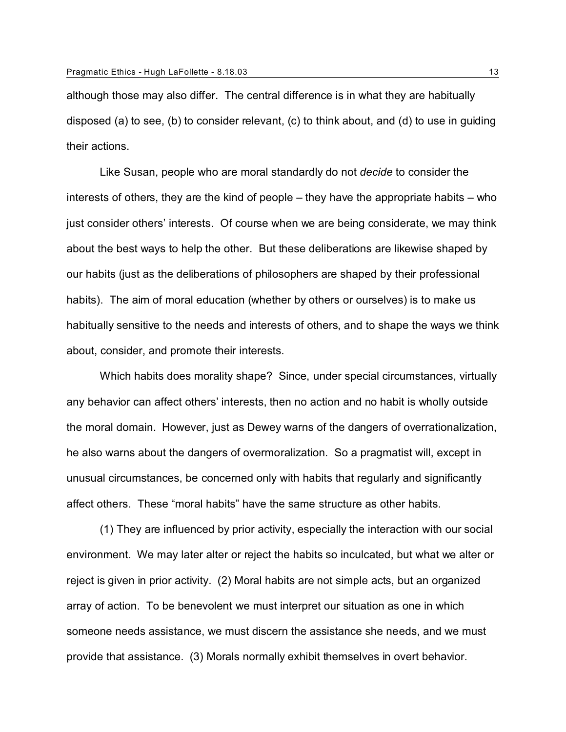although those may also differ. The central difference is in what they are habitually disposed (a) to see, (b) to consider relevant, (c) to think about, and (d) to use in guiding their actions.

Like Susan, people who are moral standardly do not *decide* to consider the interests of others, they are the kind of people – they have the appropriate habits – who just consider others' interests. Of course when we are being considerate, we may think about the best ways to help the other. But these deliberations are likewise shaped by our habits (just as the deliberations of philosophers are shaped by their professional habits). The aim of moral education (whether by others or ourselves) is to make us habitually sensitive to the needs and interests of others, and to shape the ways we think about, consider, and promote their interests.

Which habits does morality shape? Since, under special circumstances, virtually any behavior can affect others' interests, then no action and no habit is wholly outside the moral domain. However, just as Dewey warns of the dangers of overrationalization, he also warns about the dangers of overmoralization. So a pragmatist will, except in unusual circumstances, be concerned only with habits that regularly and significantly affect others. These "moral habits" have the same structure as other habits.

(1) They are influenced by prior activity, especially the interaction with our social environment. We may later alter or reject the habits so inculcated, but what we alter or reject is given in prior activity. (2) Moral habits are not simple acts, but an organized array of action. To be benevolent we must interpret our situation as one in which someone needs assistance, we must discern the assistance she needs, and we must provide that assistance. (3) Morals normally exhibit themselves in overt behavior.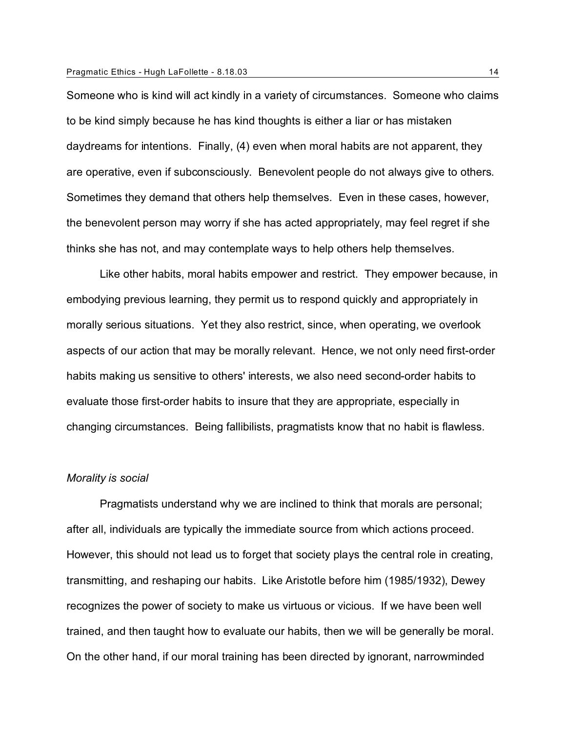Someone who is kind will act kindly in a variety of circumstances. Someone who claims to be kind simply because he has kind thoughts is either a liar or has mistaken daydreams for intentions. Finally, (4) even when moral habits are not apparent, they are operative, even if subconsciously. Benevolent people do not always give to others. Sometimes they demand that others help themselves. Even in these cases, however, the benevolent person may worry if she has acted appropriately, may feel regret if she thinks she has not, and may contemplate ways to help others help themselves.

Like other habits, moral habits empower and restrict. They empower because, in embodying previous learning, they permit us to respond quickly and appropriately in morally serious situations. Yet they also restrict, since, when operating, we overlook aspects of our action that may be morally relevant. Hence, we not only need first-order habits making us sensitive to others' interests, we also need second-order habits to evaluate those first-order habits to insure that they are appropriate, especially in changing circumstances. Being fallibilists, pragmatists know that no habit is flawless.

### *Morality is social*

Pragmatists understand why we are inclined to think that morals are personal; after all, individuals are typically the immediate source from which actions proceed. However, this should not lead us to forget that society plays the central role in creating, transmitting, and reshaping our habits. Like Aristotle before him [\(1985/1932\)](http://endnote+.cit), Dewey recognizes the power of society to make us virtuous or vicious. If we have been well trained, and then taught how to evaluate our habits, then we will be generally be moral. On the other hand, if our moral training has been directed by ignorant, narrowminded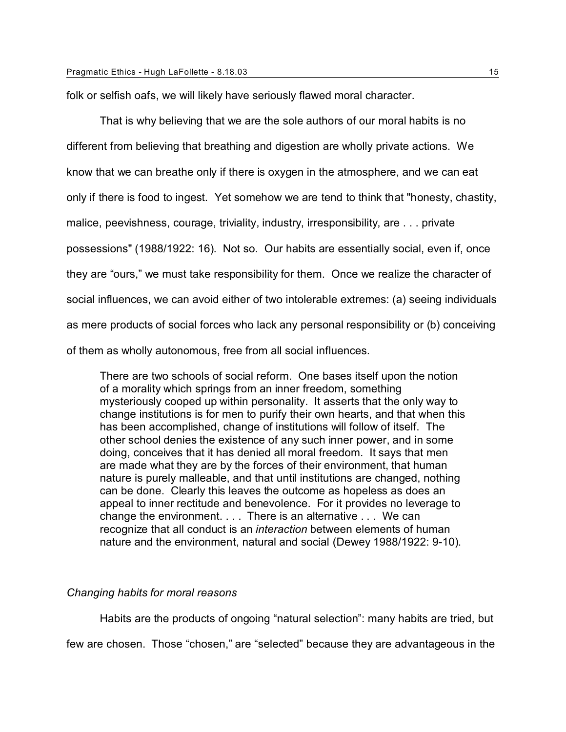folk or selfish oafs, we will likely have seriously flawed moral character.

That is why believing that we are the sole authors of our moral habits is no different from believing that breathing and digestion are wholly private actions. We know that we can breathe only if there is oxygen in the atmosphere, and we can eat only if there is food to ingest. Yet somehow we are tend to think that "honesty, chastity, malice, peevishness, courage, triviality, industry, irresponsibility, are . . . private possessions" [\(1988/1922: 16\)](http://endnote+.cit). Not so. Our habits are essentially social, even if, once they are "ours," we must take responsibility for them. Once we realize the character of social influences, we can avoid either of two intolerable extremes: (a) seeing individuals as mere products of social forces who lack any personal responsibility or (b) conceiving of them as wholly autonomous, free from all social influences.

There are two schools of social reform. One bases itself upon the notion of a morality which springs from an inner freedom, something mysteriously cooped up within personality. It asserts that the only way to change institutions is for men to purify their own hearts, and that when this has been accomplished, change of institutions will follow of itself. The other school denies the existence of any such inner power, and in some doing, conceives that it has denied all moral freedom. It says that men are made what they are by the forces of their environment, that human nature is purely malleable, and that until institutions are changed, nothing can be done. Clearly this leaves the outcome as hopeless as does an appeal to inner rectitude and benevolence. For it provides no leverage to change the environment. . . . There is an alternative . . . We can recognize that all conduct is an *interaction* between elements of human nature and the environment, natural and social [\(Dewey 1988/1922: 9-10\)](http://endnote+.cit).

#### *Changing habits for moral reasons*

Habits are the products of ongoing "natural selection": many habits are tried, but

few are chosen. Those "chosen," are "selected" because they are advantageous in the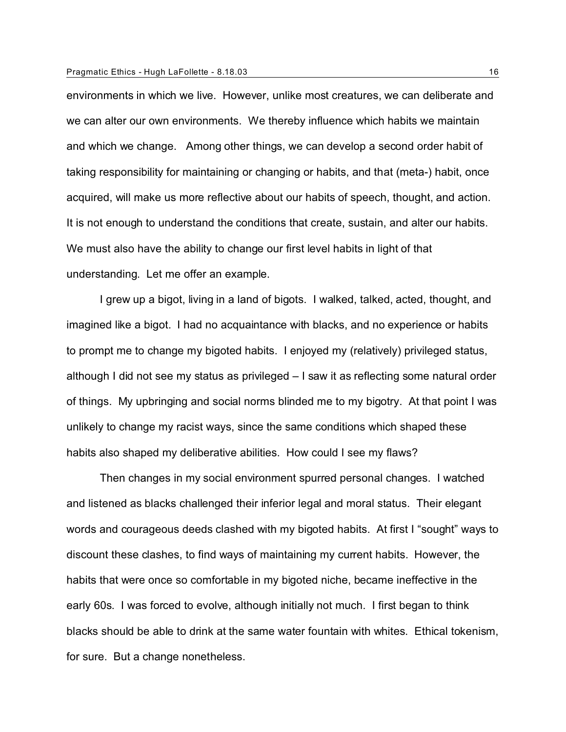environments in which we live. However, unlike most creatures, we can deliberate and we can alter our own environments. We thereby influence which habits we maintain and which we change. Among other things, we can develop a second order habit of taking responsibility for maintaining or changing or habits, and that (meta-) habit, once acquired, will make us more reflective about our habits of speech, thought, and action. It is not enough to understand the conditions that create, sustain, and alter our habits. We must also have the ability to change our first level habits in light of that understanding. Let me offer an example.

I grew up a bigot, living in a land of bigots. I walked, talked, acted, thought, and imagined like a bigot. I had no acquaintance with blacks, and no experience or habits to prompt me to change my bigoted habits. I enjoyed my (relatively) privileged status, although I did not see my status as privileged – I saw it as reflecting some natural order of things. My upbringing and social norms blinded me to my bigotry. At that point I was unlikely to change my racist ways, since the same conditions which shaped these habits also shaped my deliberative abilities. How could I see my flaws?

Then changes in my social environment spurred personal changes. I watched and listened as blacks challenged their inferior legal and moral status. Their elegant words and courageous deeds clashed with my bigoted habits. At first I "sought" ways to discount these clashes, to find ways of maintaining my current habits. However, the habits that were once so comfortable in my bigoted niche, became ineffective in the early 60s. I was forced to evolve, although initially not much. I first began to think blacks should be able to drink at the same water fountain with whites. Ethical tokenism, for sure. But a change nonetheless.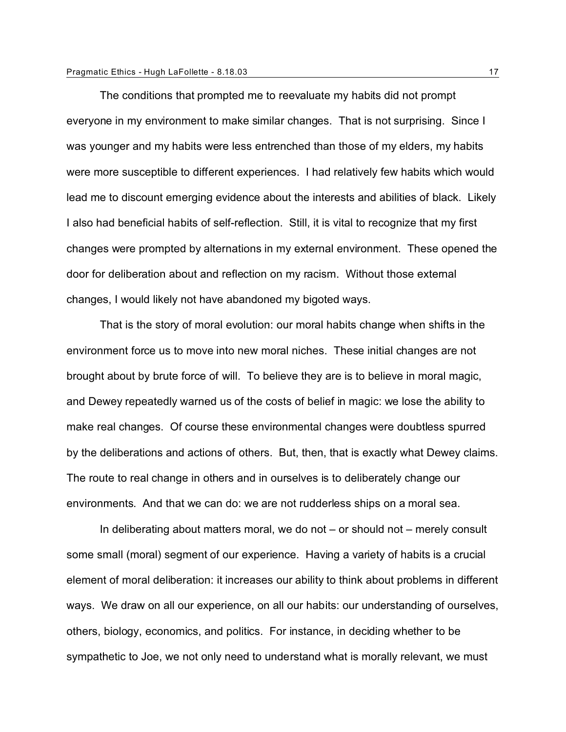The conditions that prompted me to reevaluate my habits did not prompt everyone in my environment to make similar changes. That is not surprising. Since I was younger and my habits were less entrenched than those of my elders, my habits were more susceptible to different experiences. I had relatively few habits which would lead me to discount emerging evidence about the interests and abilities of black. Likely I also had beneficial habits of self-reflection. Still, it is vital to recognize that my first changes were prompted by alternations in my external environment. These opened the door for deliberation about and reflection on my racism. Without those external changes, I would likely not have abandoned my bigoted ways.

That is the story of moral evolution: our moral habits change when shifts in the environment force us to move into new moral niches. These initial changes are not brought about by brute force of will. To believe they are is to believe in moral magic, and Dewey repeatedly warned us of the costs of belief in magic: we lose the ability to make real changes. Of course these environmental changes were doubtless spurred by the deliberations and actions of others. But, then, that is exactly what Dewey claims. The route to real change in others and in ourselves is to deliberately change our environments. And that we can do: we are not rudderless ships on a moral sea.

In deliberating about matters moral, we do not – or should not – merely consult some small (moral) segment of our experience. Having a variety of habits is a crucial element of moral deliberation: it increases our ability to think about problems in different ways. We draw on all our experience, on all our habits: our understanding of ourselves, others, biology, economics, and politics. For instance, in deciding whether to be sympathetic to Joe, we not only need to understand what is morally relevant, we must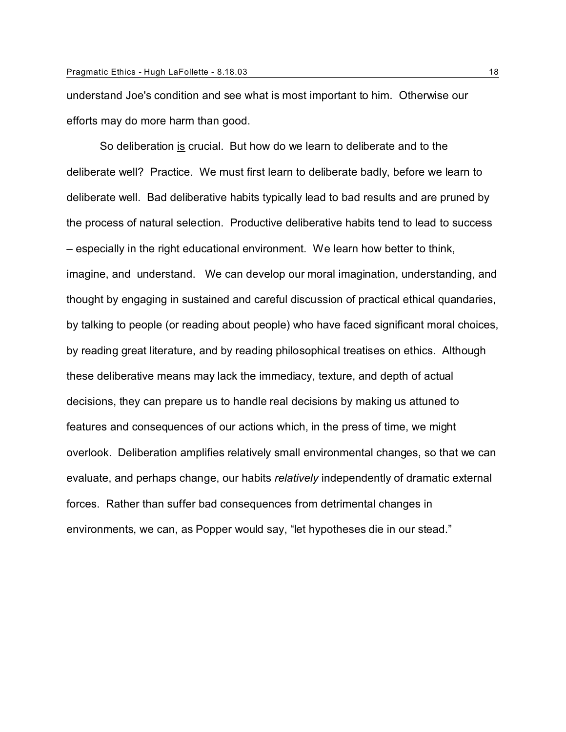understand Joe's condition and see what is most important to him. Otherwise our efforts may do more harm than good.

So deliberation is crucial. But how do we learn to deliberate and to the deliberate well? Practice. We must first learn to deliberate badly, before we learn to deliberate well. Bad deliberative habits typically lead to bad results and are pruned by the process of natural selection. Productive deliberative habits tend to lead to success – especially in the right educational environment. We learn how better to think, imagine, and understand. We can develop our moral imagination, understanding, and thought by engaging in sustained and careful discussion of practical ethical quandaries, by talking to people (or reading about people) who have faced significant moral choices, by reading great literature, and by reading philosophical treatises on ethics. Although these deliberative means may lack the immediacy, texture, and depth of actual decisions, they can prepare us to handle real decisions by making us attuned to features and consequences of our actions which, in the press of time, we might overlook. Deliberation amplifies relatively small environmental changes, so that we can evaluate, and perhaps change, our habits *relatively* independently of dramatic external forces. Rather than suffer bad consequences from detrimental changes in environments, we can, as Popper would say, "let hypotheses die in our stead."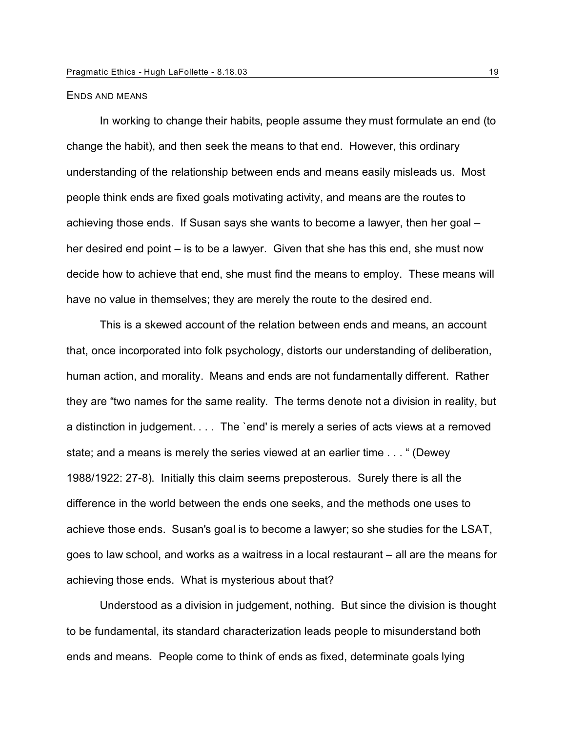### ENDS AND MEANS

In working to change their habits, people assume they must formulate an end (to change the habit), and then seek the means to that end. However, this ordinary understanding of the relationship between ends and means easily misleads us. Most people think ends are fixed goals motivating activity, and means are the routes to achieving those ends. If Susan says she wants to become a lawyer, then her goal – her desired end point – is to be a lawyer. Given that she has this end, she must now decide how to achieve that end, she must find the means to employ. These means will have no value in themselves; they are merely the route to the desired end.

This is a skewed account of the relation between ends and means, an account that, once incorporated into folk psychology, distorts our understanding of deliberation, human action, and morality. Means and ends are not fundamentally different. Rather they are "two names for the same reality. The terms denote not a division in reality, but a distinction in judgement. . . . The 'end' is merely a series of acts views at a removed state; and a means is merely the series viewed at an earlier time . . . " [\(Dewey](http://endnote+.cit) [1988/1922: 27-8\)](http://endnote+.cit). Initially this claim seems preposterous. Surely there is all the difference in the world between the ends one seeks, and the methods one uses to achieve those ends. Susan's goal is to become a lawyer; so she studies for the LSAT, goes to law school, and works as a waitress in a local restaurant – all are the means for achieving those ends. What is mysterious about that?

Understood as a division in judgement, nothing. But since the division is thought to be fundamental, its standard characterization leads people to misunderstand both ends and means. People come to think of ends as fixed, determinate goals lying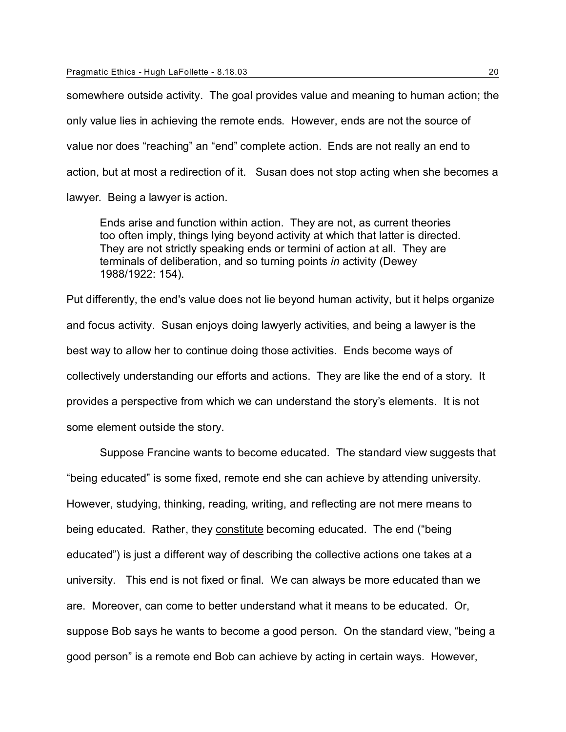somewhere outside activity. The goal provides value and meaning to human action; the only value lies in achieving the remote ends. However, ends are not the source of value nor does "reaching" an "end" complete action. Ends are not really an end to action, but at most a redirection of it. Susan does not stop acting when she becomes a lawyer. Being a lawyer is action.

Ends arise and function within action. They are not, as current theories too often imply, things lying beyond activity at which that latter is directed. They are not strictly speaking ends or termini of action at all. They are terminals of deliberation, and so turning points *in* activity [\(Dewey](http://endnote+.cit) [1988/1922: 154\)](http://endnote+.cit).

Put differently, the end's value does not lie beyond human activity, but it helps organize and focus activity. Susan enjoys doing lawyerly activities, and being a lawyer is the best way to allow her to continue doing those activities. Ends become ways of collectively understanding our efforts and actions. They are like the end of a story. It provides a perspective from which we can understand the story's elements. It is not some element outside the story.

Suppose Francine wants to become educated. The standard view suggests that "being educated" is some fixed, remote end she can achieve by attending university. However, studying, thinking, reading, writing, and reflecting are not mere means to being educated. Rather, they constitute becoming educated. The end ("being educated") is just a different way of describing the collective actions one takes at a university. This end is not fixed or final. We can always be more educated than we are. Moreover, can come to better understand what it means to be educated. Or, suppose Bob says he wants to become a good person. On the standard view, "being a good person" is a remote end Bob can achieve by acting in certain ways. However,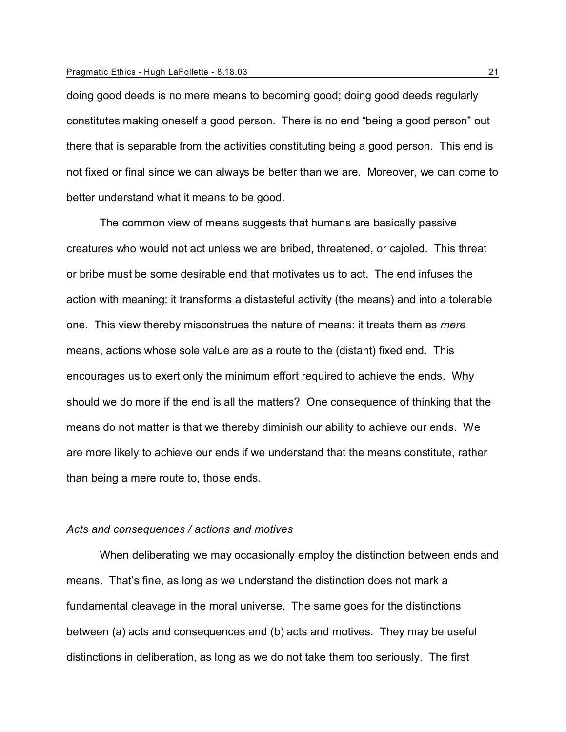doing good deeds is no mere means to becoming good; doing good deeds regularly constitutes making oneself a good person. There is no end "being a good person" out there that is separable from the activities constituting being a good person. This end is not fixed or final since we can always be better than we are. Moreover, we can come to better understand what it means to be good.

The common view of means suggests that humans are basically passive creatures who would not act unless we are bribed, threatened, or cajoled. This threat or bribe must be some desirable end that motivates us to act. The end infuses the action with meaning: it transforms a distasteful activity (the means) and into a tolerable one. This view thereby misconstrues the nature of means: it treats them as *mere* means, actions whose sole value are as a route to the (distant) fixed end. This encourages us to exert only the minimum effort required to achieve the ends. Why should we do more if the end is all the matters? One consequence of thinking that the means do not matter is that we thereby diminish our ability to achieve our ends. We are more likely to achieve our ends if we understand that the means constitute, rather than being a mere route to, those ends.

#### *Acts and consequences / actions and motives*

When deliberating we may occasionally employ the distinction between ends and means. That's fine, as long as we understand the distinction does not mark a fundamental cleavage in the moral universe. The same goes for the distinctions between (a) acts and consequences and (b) acts and motives. They may be useful distinctions in deliberation, as long as we do not take them too seriously. The first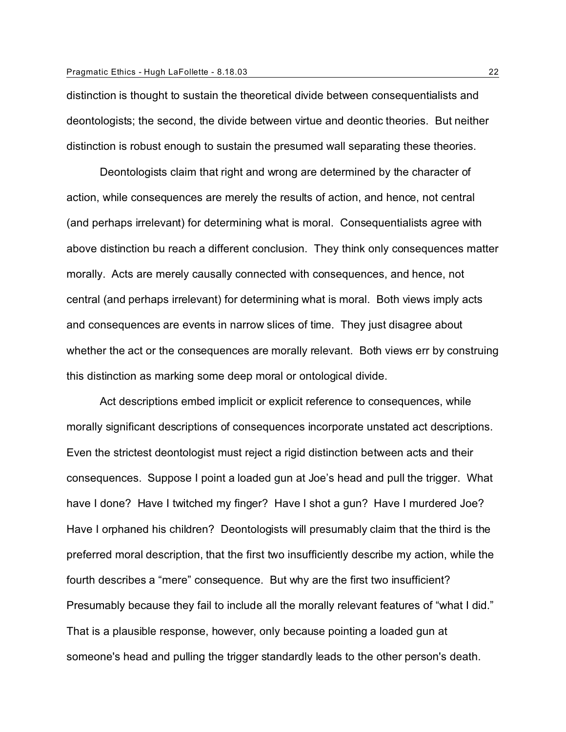distinction is thought to sustain the theoretical divide between consequentialists and deontologists; the second, the divide between virtue and deontic theories. But neither distinction is robust enough to sustain the presumed wall separating these theories.

Deontologists claim that right and wrong are determined by the character of action, while consequences are merely the results of action, and hence, not central (and perhaps irrelevant) for determining what is moral. Consequentialists agree with above distinction bu reach a different conclusion. They think only consequences matter morally. Acts are merely causally connected with consequences, and hence, not central (and perhaps irrelevant) for determining what is moral. Both views imply acts and consequences are events in narrow slices of time. They just disagree about whether the act or the consequences are morally relevant. Both views err by construing this distinction as marking some deep moral or ontological divide.

Act descriptions embed implicit or explicit reference to consequences, while morally significant descriptions of consequences incorporate unstated act descriptions. Even the strictest deontologist must reject a rigid distinction between acts and their consequences. Suppose I point a loaded gun at Joe's head and pull the trigger. What have I done? Have I twitched my finger? Have I shot a gun? Have I murdered Joe? Have I orphaned his children? Deontologists will presumably claim that the third is the preferred moral description, that the first two insufficiently describe my action, while the fourth describes a "mere" consequence. But why are the first two insufficient? Presumably because they fail to include all the morally relevant features of "what I did." That is a plausible response, however, only because pointing a loaded gun at someone's head and pulling the trigger standardly leads to the other person's death.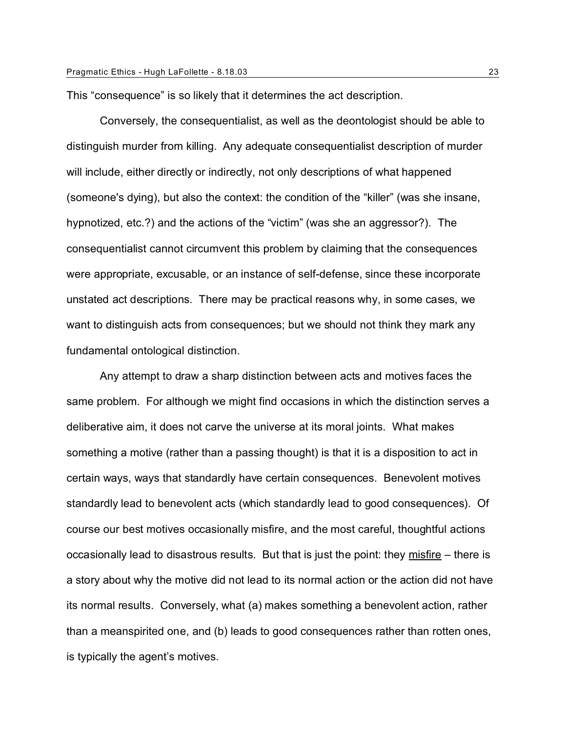This "consequence" is so likely that it determines the act description.

Conversely, the consequentialist, as well as the deontologist should be able to distinguish murder from killing. Any adequate consequentialist description of murder will include, either directly or indirectly, not only descriptions of what happened (someone's dying), but also the context: the condition of the "killer" (was she insane, hypnotized, etc.?) and the actions of the "victim" (was she an aggressor?). The consequentialist cannot circumvent this problem by claiming that the consequences were appropriate, excusable, or an instance of self-defense, since these incorporate unstated act descriptions. There may be practical reasons why, in some cases, we want to distinguish acts from consequences; but we should not think they mark any fundamental ontological distinction.

Any attempt to draw a sharp distinction between acts and motives faces the same problem. For although we might find occasions in which the distinction serves a deliberative aim, it does not carve the universe at its moral joints. What makes something a motive (rather than a passing thought) is that it is a disposition to act in certain ways, ways that standardly have certain consequences. Benevolent motives standardly lead to benevolent acts (which standardly lead to good consequences). Of course our best motives occasionally misfire, and the most careful, thoughtful actions occasionally lead to disastrous results. But that is just the point: they misfire – there is a story about why the motive did not lead to its normal action or the action did not have its normal results. Conversely, what (a) makes something a benevolent action, rather than a meanspirited one, and (b) leads to good consequences rather than rotten ones, is typically the agent's motives.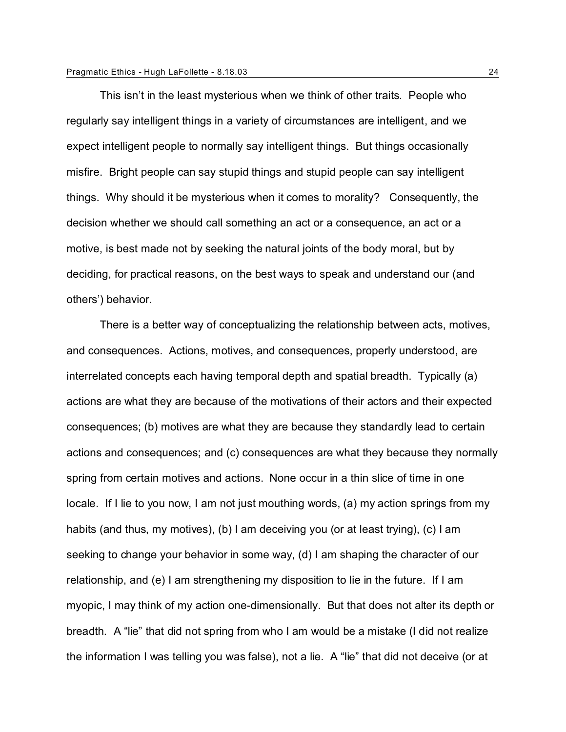This isn't in the least mysterious when we think of other traits. People who regularly say intelligent things in a variety of circumstances are intelligent, and we expect intelligent people to normally say intelligent things. But things occasionally misfire. Bright people can say stupid things and stupid people can say intelligent things. Why should it be mysterious when it comes to morality? Consequently, the decision whether we should call something an act or a consequence, an act or a motive, is best made not by seeking the natural joints of the body moral, but by deciding, for practical reasons, on the best ways to speak and understand our (and others') behavior.

There is a better way of conceptualizing the relationship between acts, motives, and consequences. Actions, motives, and consequences, properly understood, are interrelated concepts each having temporal depth and spatial breadth. Typically (a) actions are what they are because of the motivations of their actors and their expected consequences; (b) motives are what they are because they standardly lead to certain actions and consequences; and (c) consequences are what they because they normally spring from certain motives and actions. None occur in a thin slice of time in one locale. If I lie to you now, I am not just mouthing words, (a) my action springs from my habits (and thus, my motives), (b) I am deceiving you (or at least trying), (c) I am seeking to change your behavior in some way, (d) I am shaping the character of our relationship, and (e) I am strengthening my disposition to lie in the future. If I am myopic, I may think of my action one-dimensionally. But that does not alter its depth or breadth. A "lie" that did not spring from who I am would be a mistake (I did not realize the information I was telling you was false), not a lie. A "lie" that did not deceive (or at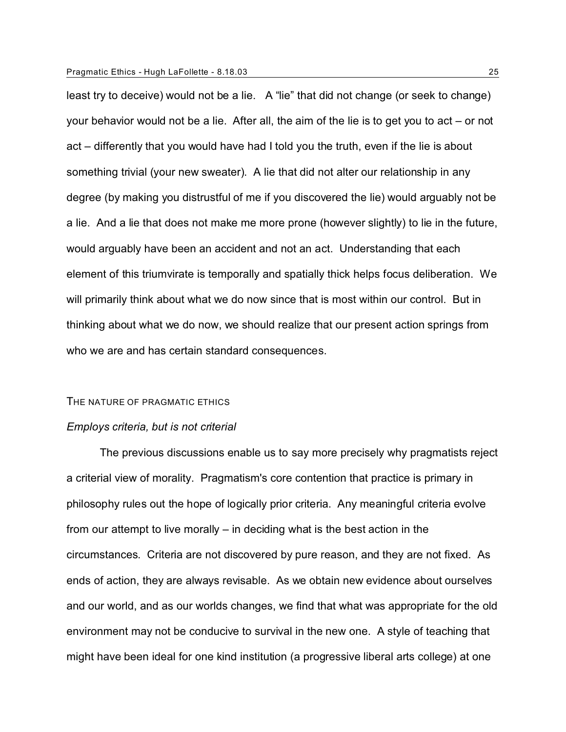least try to deceive) would not be a lie. A "lie" that did not change (or seek to change) your behavior would not be a lie. After all, the aim of the lie is to get you to act – or not act – differently that you would have had I told you the truth, even if the lie is about something trivial (your new sweater). A lie that did not alter our relationship in any degree (by making you distrustful of me if you discovered the lie) would arguably not be a lie. And a lie that does not make me more prone (however slightly) to lie in the future, would arguably have been an accident and not an act. Understanding that each element of this triumvirate is temporally and spatially thick helps focus deliberation. We will primarily think about what we do now since that is most within our control. But in thinking about what we do now, we should realize that our present action springs from who we are and has certain standard consequences.

#### THE NATURE OF PRAGMATIC ETHICS

#### *Employs criteria, but is not criterial*

The previous discussions enable us to say more precisely why pragmatists reject a criterial view of morality. Pragmatism's core contention that practice is primary in philosophy rules out the hope of logically prior criteria. Any meaningful criteria evolve from our attempt to live morally – in deciding what is the best action in the circumstances. Criteria are not discovered by pure reason, and they are not fixed. As ends of action, they are always revisable. As we obtain new evidence about ourselves and our world, and as our worlds changes, we find that what was appropriate for the old environment may not be conducive to survival in the new one. A style of teaching that might have been ideal for one kind institution (a progressive liberal arts college) at one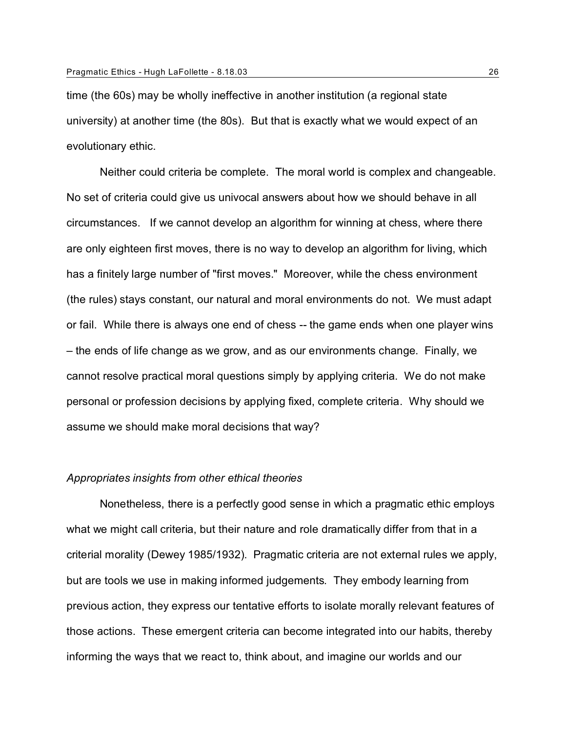time (the 60s) may be wholly ineffective in another institution (a regional state university) at another time (the 80s). But that is exactly what we would expect of an evolutionary ethic.

Neither could criteria be complete. The moral world is complex and changeable. No set of criteria could give us univocal answers about how we should behave in all circumstances. If we cannot develop an algorithm for winning at chess, where there are only eighteen first moves, there is no way to develop an algorithm for living, which has a finitely large number of "first moves." Moreover, while the chess environment (the rules) stays constant, our natural and moral environments do not. We must adapt or fail. While there is always one end of chess -- the game ends when one player wins – the ends of life change as we grow, and as our environments change. Finally, we cannot resolve practical moral questions simply by applying criteria. We do not make personal or profession decisions by applying fixed, complete criteria. Why should we assume we should make moral decisions that way?

### *Appropriates insights from other ethical theories*

Nonetheless, there is a perfectly good sense in which a pragmatic ethic employs what we might call criteria, but their nature and role dramatically differ from that in a criterial morality [\(Dewey 1985/1932\)](http://endnote+.cit). Pragmatic criteria are not external rules we apply, but are tools we use in making informed judgements. They embody learning from previous action, they express our tentative efforts to isolate morally relevant features of those actions. These emergent criteria can become integrated into our habits, thereby informing the ways that we react to, think about, and imagine our worlds and our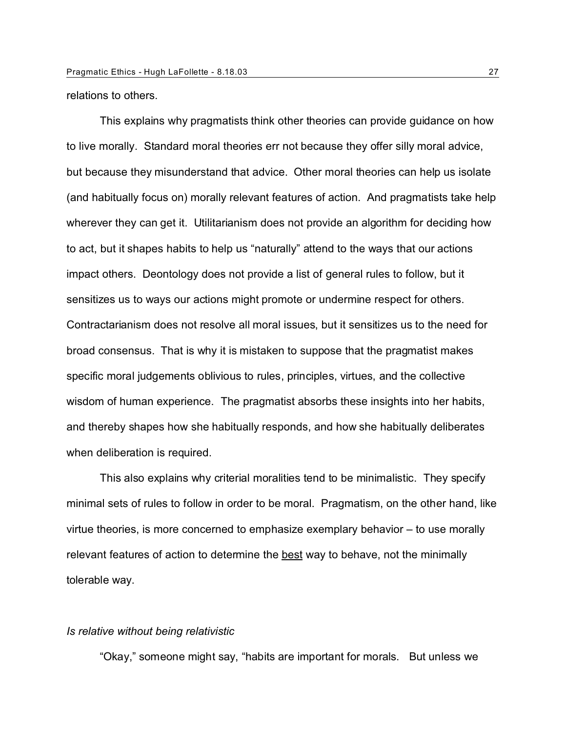relations to others.

This explains why pragmatists think other theories can provide guidance on how to live morally. Standard moral theories err not because they offer silly moral advice, but because they misunderstand that advice. Other moral theories can help us isolate (and habitually focus on) morally relevant features of action. And pragmatists take help wherever they can get it. Utilitarianism does not provide an algorithm for deciding how to act, but it shapes habits to help us "naturally" attend to the ways that our actions impact others. Deontology does not provide a list of general rules to follow, but it sensitizes us to ways our actions might promote or undermine respect for others. Contractarianism does not resolve all moral issues, but it sensitizes us to the need for broad consensus. That is why it is mistaken to suppose that the pragmatist makes specific moral judgements oblivious to rules, principles, virtues, and the collective wisdom of human experience. The pragmatist absorbs these insights into her habits, and thereby shapes how she habitually responds, and how she habitually deliberates when deliberation is required.

This also explains why criterial moralities tend to be minimalistic. They specify minimal sets of rules to follow in order to be moral. Pragmatism, on the other hand, like virtue theories, is more concerned to emphasize exemplary behavior – to use morally relevant features of action to determine the best way to behave, not the minimally tolerable way.

#### *Is relative without being relativistic*

"Okay," someone might say, "habits are important for morals. But unless we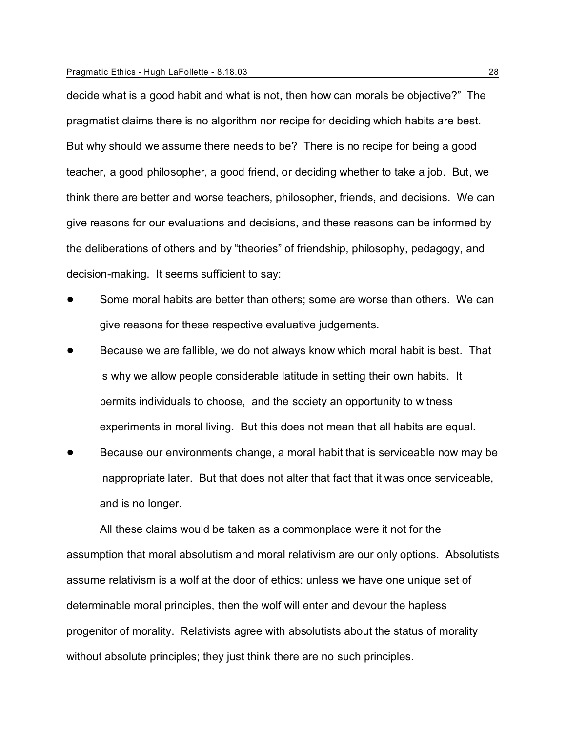decide what is a good habit and what is not, then how can morals be objective?" The pragmatist claims there is no algorithm nor recipe for deciding which habits are best. But why should we assume there needs to be? There is no recipe for being a good teacher, a good philosopher, a good friend, or deciding whether to take a job. But, we think there are better and worse teachers, philosopher, friends, and decisions. We can give reasons for our evaluations and decisions, and these reasons can be informed by the deliberations of others and by "theories" of friendship, philosophy, pedagogy, and decision-making. It seems sufficient to say:

- Some moral habits are better than others; some are worse than others. We can give reasons for these respective evaluative judgements.
- Because we are fallible, we do not always know which moral habit is best. That is why we allow people considerable latitude in setting their own habits. It permits individuals to choose, and the society an opportunity to witness experiments in moral living. But this does not mean that all habits are equal.
- Because our environments change, a moral habit that is serviceable now may be inappropriate later. But that does not alter that fact that it was once serviceable, and is no longer.

All these claims would be taken as a commonplace were it not for the assumption that moral absolutism and moral relativism are our only options. Absolutists assume relativism is a wolf at the door of ethics: unless we have one unique set of determinable moral principles, then the wolf will enter and devour the hapless progenitor of morality. Relativists agree with absolutists about the status of morality without absolute principles; they just think there are no such principles.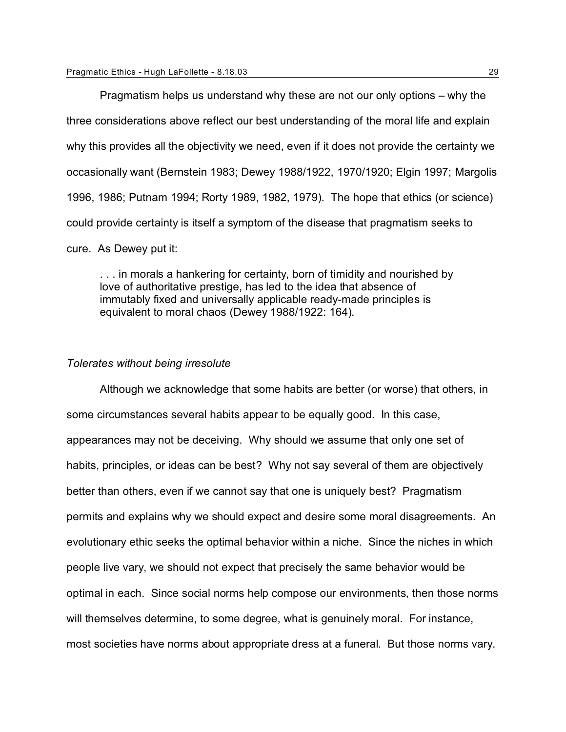Pragmatism helps us understand why these are not our only options – why the three considerations above reflect our best understanding of the moral life and explain why this provides all the objectivity we need, even if it does not provide the certainty we occasionally want [\(Bernstein 1983; Dewey 1988/1922, 1970/1920; Elgin 1997; Margolis](http://endnote+.cit) [1996, 1986; Putnam 1994; Rorty 1989, 1982, 1979\)](http://endnote+.cit). The hope that ethics (or science) could provide certainty is itself a symptom of the disease that pragmatism seeks to

cure. As Dewey put it:

. . . in morals a hankering for certainty, born of timidity and nourished by love of authoritative prestige, has led to the idea that absence of immutably fixed and universally applicable ready-made principles is equivalent to moral chaos [\(Dewey 1988/1922: 164\)](http://endnote+.cit).

### *Tolerates without being irresolute*

Although we acknowledge that some habits are better (or worse) that others, in some circumstances several habits appear to be equally good. In this case, appearances may not be deceiving. Why should we assume that only one set of habits, principles, or ideas can be best? Why not say several of them are objectively better than others, even if we cannot say that one is uniquely best? Pragmatism permits and explains why we should expect and desire some moral disagreements. An evolutionary ethic seeks the optimal behavior within a niche. Since the niches in which people live vary, we should not expect that precisely the same behavior would be optimal in each. Since social norms help compose our environments, then those norms will themselves determine, to some degree, what is genuinely moral. For instance, most societies have norms about appropriate dress at a funeral. But those norms vary.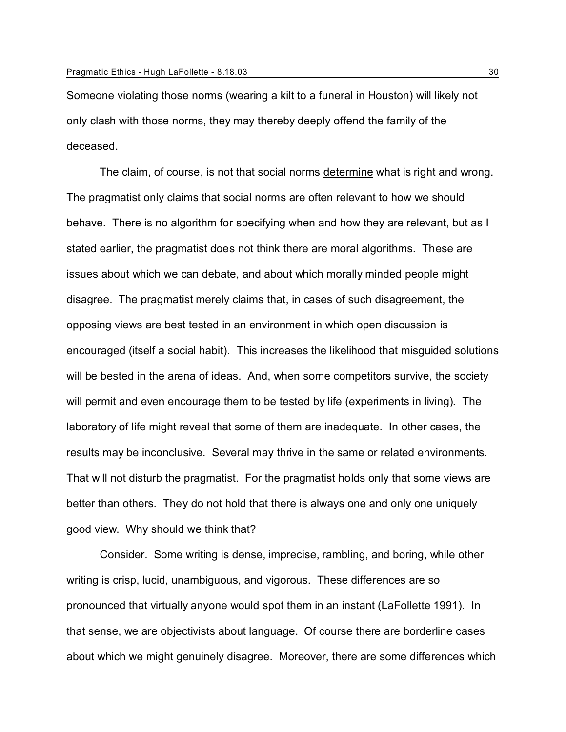Someone violating those norms (wearing a kilt to a funeral in Houston) will likely not only clash with those norms, they may thereby deeply offend the family of the deceased.

The claim, of course, is not that social norms determine what is right and wrong. The pragmatist only claims that social norms are often relevant to how we should behave. There is no algorithm for specifying when and how they are relevant, but as I stated earlier, the pragmatist does not think there are moral algorithms. These are issues about which we can debate, and about which morally minded people might disagree. The pragmatist merely claims that, in cases of such disagreement, the opposing views are best tested in an environment in which open discussion is encouraged (itself a social habit). This increases the likelihood that misguided solutions will be bested in the arena of ideas. And, when some competitors survive, the society will permit and even encourage them to be tested by life (experiments in living). The laboratory of life might reveal that some of them are inadequate. In other cases, the results may be inconclusive. Several may thrive in the same or related environments. That will not disturb the pragmatist. For the pragmatist holds only that some views are better than others. They do not hold that there is always one and only one uniquely good view. Why should we think that?

Consider. Some writing is dense, imprecise, rambling, and boring, while other writing is crisp, lucid, unambiguous, and vigorous. These differences are so pronounced that virtually anyone would spot them in an instant [\(LaFollette 1991\)](http://endnote+.cit). In that sense, we are objectivists about language. Of course there are borderline cases about which we might genuinely disagree. Moreover, there are some differences which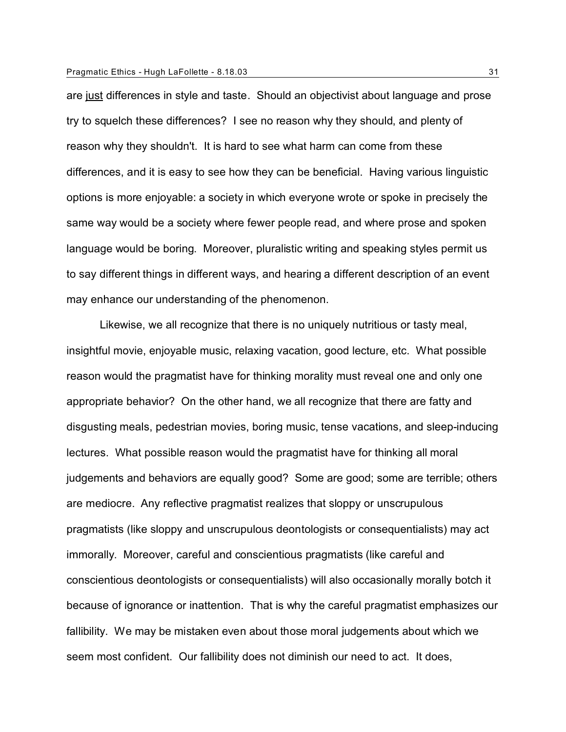are just differences in style and taste. Should an objectivist about language and prose try to squelch these differences? I see no reason why they should, and plenty of reason why they shouldn't. It is hard to see what harm can come from these differences, and it is easy to see how they can be beneficial. Having various linguistic options is more enjoyable: a society in which everyone wrote or spoke in precisely the same way would be a society where fewer people read, and where prose and spoken language would be boring. Moreover, pluralistic writing and speaking styles permit us to say different things in different ways, and hearing a different description of an event may enhance our understanding of the phenomenon.

Likewise, we all recognize that there is no uniquely nutritious or tasty meal, insightful movie, enjoyable music, relaxing vacation, good lecture, etc. What possible reason would the pragmatist have for thinking morality must reveal one and only one appropriate behavior? On the other hand, we all recognize that there are fatty and disgusting meals, pedestrian movies, boring music, tense vacations, and sleep-inducing lectures. What possible reason would the pragmatist have for thinking all moral judgements and behaviors are equally good? Some are good; some are terrible; others are mediocre. Any reflective pragmatist realizes that sloppy or unscrupulous pragmatists (like sloppy and unscrupulous deontologists or consequentialists) may act immorally. Moreover, careful and conscientious pragmatists (like careful and conscientious deontologists or consequentialists) will also occasionally morally botch it because of ignorance or inattention. That is why the careful pragmatist emphasizes our fallibility. We may be mistaken even about those moral judgements about which we seem most confident. Our fallibility does not diminish our need to act. It does,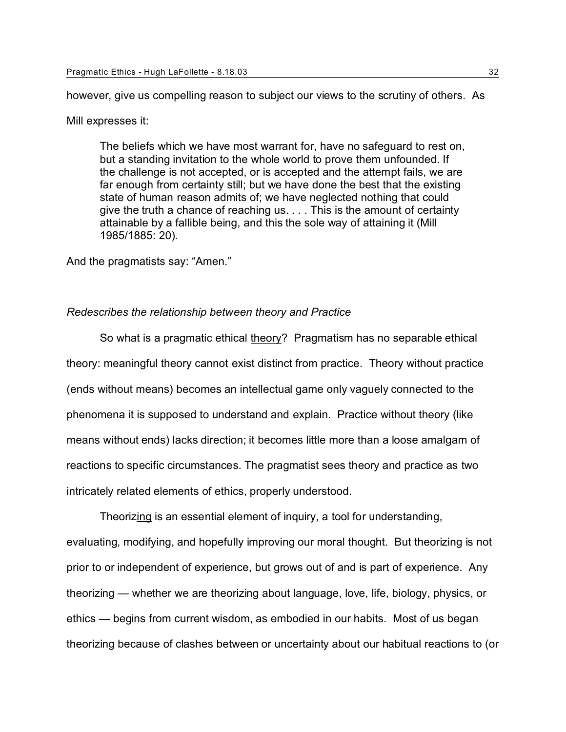however, give us compelling reason to subject our views to the scrutiny of others. As

#### Mill expresses it:

The beliefs which we have most warrant for, have no safeguard to rest on, but a standing invitation to the whole world to prove them unfounded. If the challenge is not accepted, or is accepted and the attempt fails, we are far enough from certainty still; but we have done the best that the existing state of human reason admits of; we have neglected nothing that could give the truth a chance of reaching us. . . . This is the amount of certainty attainable by a fallible being, and this the sole way of attaining it [\(Mill](http://endnote+.cit) [1985/1885: 20\)](http://endnote+.cit).

And the pragmatists say: "Amen."

## *Redescribes the relationship between theory and Practice*

So what is a pragmatic ethical theory? Pragmatism has no separable ethical theory: meaningful theory cannot exist distinct from practice. Theory without practice (ends without means) becomes an intellectual game only vaguely connected to the phenomena it is supposed to understand and explain. Practice without theory (like means without ends) lacks direction; it becomes little more than a loose amalgam of reactions to specific circumstances. The pragmatist sees theory and practice as two intricately related elements of ethics, properly understood.

Theorizing is an essential element of inquiry, a tool for understanding, evaluating, modifying, and hopefully improving our moral thought. But theorizing is not prior to or independent of experience, but grows out of and is part of experience. Any theorizing — whether we are theorizing about language, love, life, biology, physics, or ethics — begins from current wisdom, as embodied in our habits. Most of us began theorizing because of clashes between or uncertainty about our habitual reactions to (or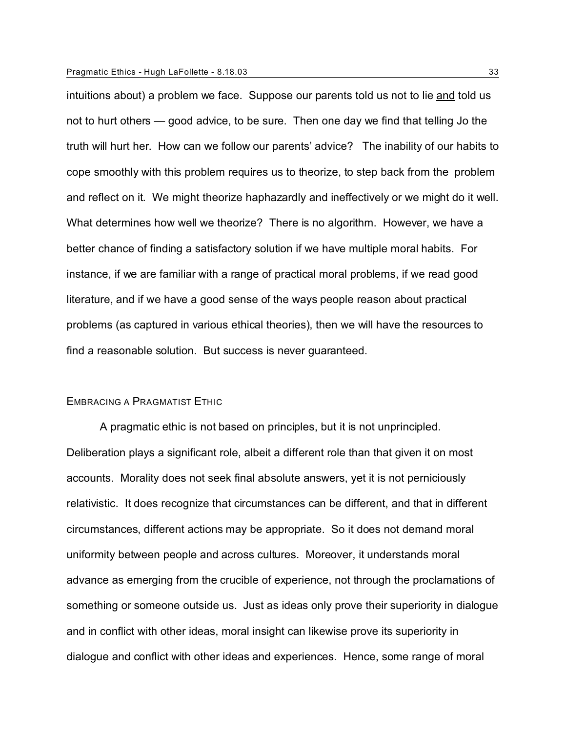intuitions about) a problem we face. Suppose our parents told us not to lie and told us not to hurt others — good advice, to be sure. Then one day we find that telling Jo the truth will hurt her. How can we follow our parents' advice? The inability of our habits to cope smoothly with this problem requires us to theorize, to step back from the problem and reflect on it. We might theorize haphazardly and ineffectively or we might do it well. What determines how well we theorize? There is no algorithm. However, we have a better chance of finding a satisfactory solution if we have multiple moral habits. For instance, if we are familiar with a range of practical moral problems, if we read good literature, and if we have a good sense of the ways people reason about practical problems (as captured in various ethical theories), then we will have the resources to find a reasonable solution. But success is never guaranteed.

## EMBRACING A PRAGMATIST ETHIC

A pragmatic ethic is not based on principles, but it is not unprincipled. Deliberation plays a significant role, albeit a different role than that given it on most accounts. Morality does not seek final absolute answers, yet it is not perniciously relativistic. It does recognize that circumstances can be different, and that in different circumstances, different actions may be appropriate. So it does not demand moral uniformity between people and across cultures. Moreover, it understands moral advance as emerging from the crucible of experience, not through the proclamations of something or someone outside us. Just as ideas only prove their superiority in dialogue and in conflict with other ideas, moral insight can likewise prove its superiority in dialogue and conflict with other ideas and experiences. Hence, some range of moral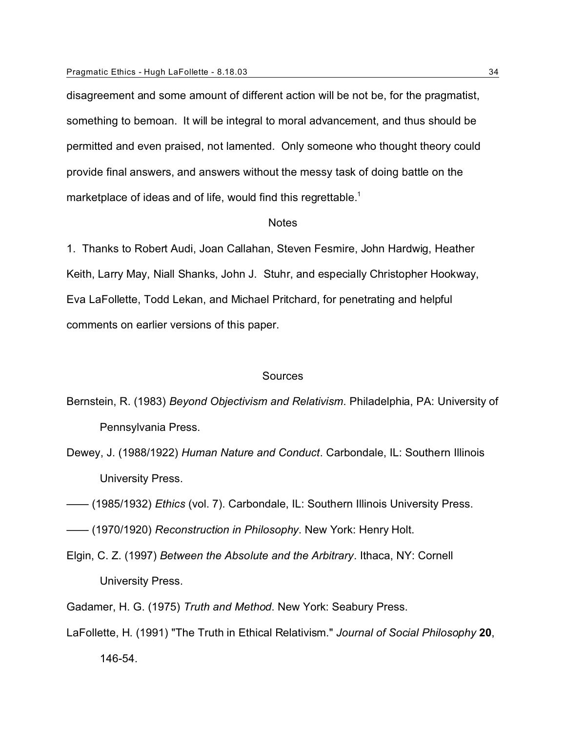disagreement and some amount of different action will be not be, for the pragmatist, something to bemoan. It will be integral to moral advancement, and thus should be permitted and even praised, not lamented. Only someone who thought theory could provide final answers, and answers without the messy task of doing battle on the marketplace of ideas and of life, would find this regrettable.<sup>1</sup>

#### **Notes**

1. Thanks to Robert Audi, Joan Callahan, Steven Fesmire, John Hardwig, Heather Keith, Larry May, Niall Shanks, John J. Stuhr, and especially Christopher Hookway, Eva LaFollette, Todd Lekan, and Michael Pritchard, for penetrating and helpful comments on earlier versions of this paper.

#### **Sources**

- Bernstein, R. (1983) *[Beyond Objectivism and Relativism](http://endnote+.bib)*. Philadelphia, PA: University of [Pennsylvania Press.](http://endnote+.bib)
- Dewey, J. (1988/1922) *Human Nature and Conduct*[. Carbondale, IL: Southern Illinois](http://endnote+.bib) [University Press.](http://endnote+.bib)
- —— (1985/1932) *Ethics* (vol. [7\). Carbondale, IL: Southern Illinois University Press.](http://endnote+.bib) —— (1970/1920) *[Reconstruction in Philosophy](http://endnote+.bib)*. New York: Henry Holt.
- Elgin, C. Z. (1997) *[Between the Absolute and the Arbitrary](http://endnote+.bib)*. Ithaca, NY: Cornell [University Press.](http://endnote+.bib)
- Gadamer, H. G. (1975) *Truth and Method*[. New York: Seabury Press.](http://endnote+.bib)
- [LaFollette, H. \(1991\) "The Truth in Ethical Relativism."](http://endnote+.bib) *Journal of Social Philosophy* **20**, [146-54.](http://endnote+.bib)